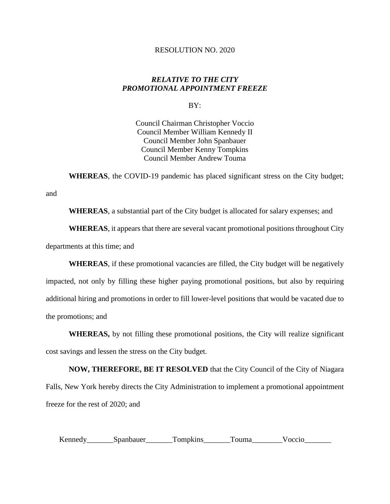## RESOLUTION NO. 2020

## *RELATIVE TO THE CITY PROMOTIONAL APPOINTMENT FREEZE*

BY:

Council Chairman Christopher Voccio Council Member William Kennedy II Council Member John Spanbauer Council Member Kenny Tompkins Council Member Andrew Touma

**WHEREAS**, the COVID-19 pandemic has placed significant stress on the City budget;

**WHEREAS**, a substantial part of the City budget is allocated for salary expenses; and

**WHEREAS**, it appears that there are several vacant promotional positions throughout City departments at this time; and

and

**WHEREAS**, if these promotional vacancies are filled, the City budget will be negatively impacted, not only by filling these higher paying promotional positions, but also by requiring additional hiring and promotions in order to fill lower-level positions that would be vacated due to the promotions; and

**WHEREAS,** by not filling these promotional positions, the City will realize significant cost savings and lessen the stress on the City budget.

**NOW, THEREFORE, BE IT RESOLVED** that the City Council of the City of Niagara Falls, New York hereby directs the City Administration to implement a promotional appointment freeze for the rest of 2020; and

Kennedy\_\_\_\_\_\_\_Spanbauer\_\_\_\_\_\_\_Tompkins\_\_\_\_\_\_Touma\_\_\_\_\_\_\_Voccio\_\_\_\_\_\_\_